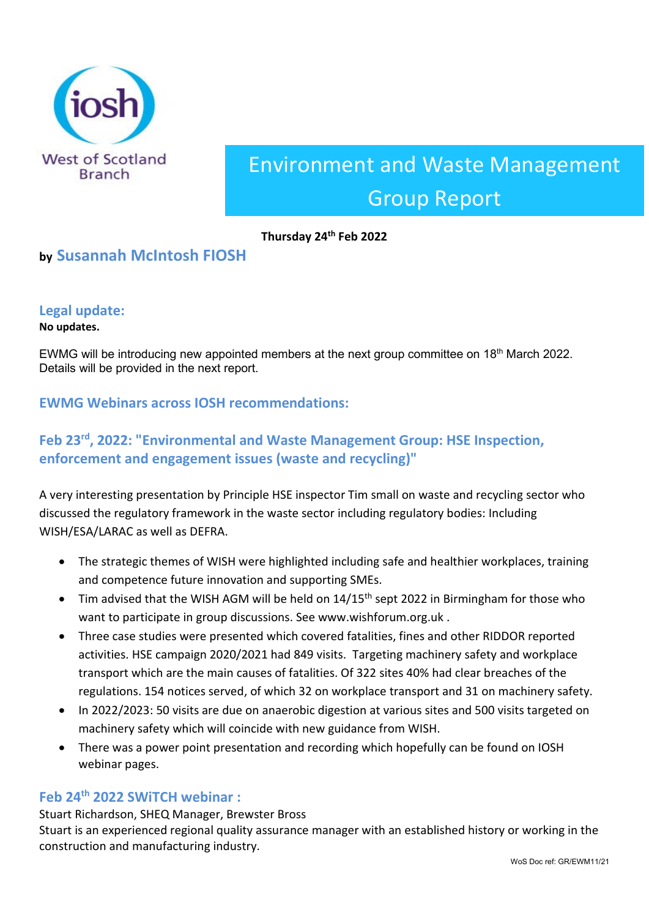

# Environment and Waste Management Group Report

### **Thursday 24th Feb 2022**

# **by Susannah McIntosh FIOSH**

## **Legal update:**

#### **No updates.**

EWMG will be introducing new appointed members at the next group committee on 18<sup>th</sup> March 2022. Details will be provided in the next report.

## **EWMG Webinars across IOSH recommendations:**

# **Feb 23rd, 2022: "Environmental and Waste Management Group: HSE Inspection, enforcement and engagement issues (waste and recycling)"**

A very interesting presentation by Principle HSE inspector Tim small on waste and recycling sector who discussed the regulatory framework in the waste sector including regulatory bodies: Including WISH/ESA/LARAC as well as DEFRA.

- The strategic themes of WISH were highlighted including safe and healthier workplaces, training and competence future innovation and supporting SMEs.
- Tim advised that the WISH AGM will be held on  $14/15<sup>th</sup>$  sept 2022 in Birmingham for those who want to participate in group discussions. See www.wishforum.org.uk .
- Three case studies were presented which covered fatalities, fines and other RIDDOR reported activities. HSE campaign 2020/2021 had 849 visits. Targeting machinery safety and workplace transport which are the main causes of fatalities. Of 322 sites 40% had clear breaches of the regulations. 154 notices served, of which 32 on workplace transport and 31 on machinery safety.
- In 2022/2023: 50 visits are due on anaerobic digestion at various sites and 500 visits targeted on machinery safety which will coincide with new guidance from WISH.
- There was a power point presentation and recording which hopefully can be found on IOSH webinar pages.

#### **Feb 24th 2022 SWiTCH webinar :**

Stuart Richardson, SHEQ Manager, Brewster Bross Stuart is an experienced regional quality assurance manager with an established history or working in the construction and manufacturing industry.